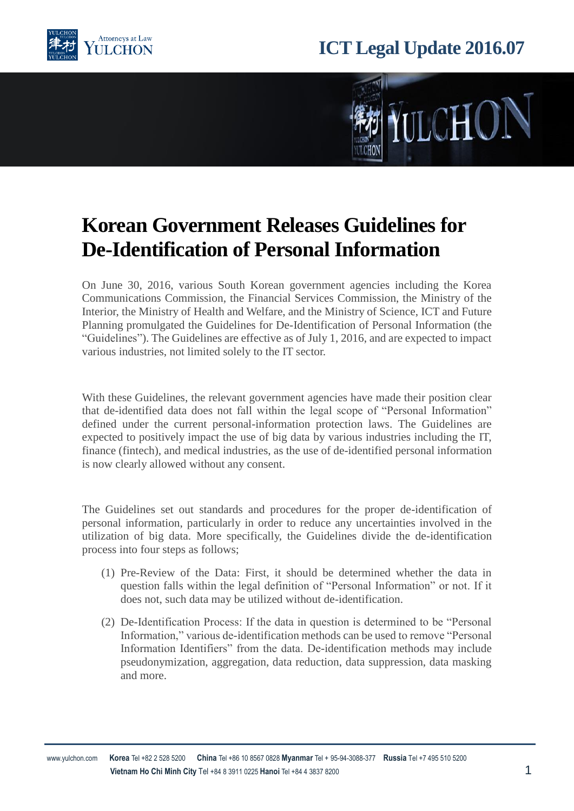

## **ICT Legal Update 2016.07**



## **Korean Government Releases Guidelines for De-Identification of Personal Information**

On June 30, 2016, various South Korean government agencies including the Korea Communications Commission, the Financial Services Commission, the Ministry of the Interior, the Ministry of Health and Welfare, and the Ministry of Science, ICT and Future Planning promulgated the Guidelines for De-Identification of Personal Information (the "Guidelines"). The Guidelines are effective as of July 1, 2016, and are expected to impact various industries, not limited solely to the IT sector.

With these Guidelines, the relevant government agencies have made their position clear that de-identified data does not fall within the legal scope of "Personal Information" defined under the current personal-information protection laws. The Guidelines are expected to positively impact the use of big data by various industries including the IT, finance (fintech), and medical industries, as the use of de-identified personal information is now clearly allowed without any consent.

The Guidelines set out standards and procedures for the proper de-identification of personal information, particularly in order to reduce any uncertainties involved in the utilization of big data. More specifically, the Guidelines divide the de-identification process into four steps as follows;

- (1) Pre-Review of the Data: First, it should be determined whether the data in question falls within the legal definition of "Personal Information" or not. If it does not, such data may be utilized without de-identification.
- (2) De-Identification Process: If the data in question is determined to be "Personal Information," various de-identification methods can be used to remove "Personal Information Identifiers" from the data. De-identification methods may include pseudonymization, aggregation, data reduction, data suppression, data masking and more.